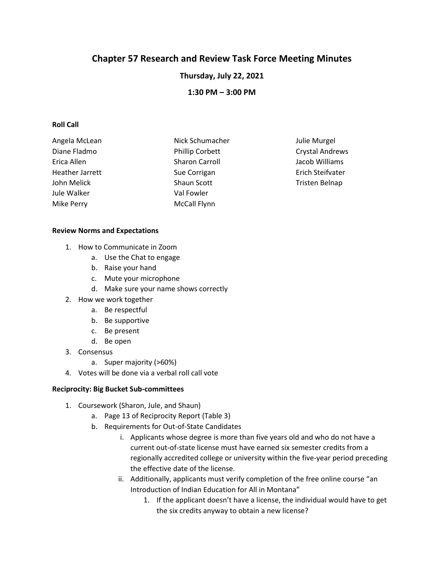# **Chapter 57 Research and Review Task Force Meeting Minutes**

**Thursday, July 22, 2021**

**1:30 PM – 3:00 PM**

## **Roll Call**

| Angela McLean   | Nick Schumacher        | Julie Murgel           |
|-----------------|------------------------|------------------------|
| Diane Fladmo    | <b>Phillip Corbett</b> | <b>Crystal Andrews</b> |
| Erica Allen     | <b>Sharon Carroll</b>  | Jacob Williams         |
| Heather Jarrett | Sue Corrigan           | Erich Steifvater       |
| John Melick     | Shaun Scott            | Tristen Belnap         |
| Jule Walker     | Val Fowler             |                        |
| Mike Perry      | <b>McCall Flynn</b>    |                        |

### **Review Norms and Expectations**

- 1. How to Communicate in Zoom
	- a. Use the Chat to engage
	- b. Raise your hand
	- c. Mute your microphone
	- d. Make sure your name shows correctly
- 2. How we work together
	- a. Be respectful
	- b. Be supportive
	- c. Be present
	- d. Be open
- 3. Consensus
	- a. Super majority (>60%)
- 4. Votes will be done via a verbal roll call vote

### **Reciprocity: Big Bucket Sub-committees**

- 1. Coursework (Sharon, Jule, and Shaun)
	- a. Page 13 of Reciprocity Report (Table 3)
	- b. Requirements for Out-of-State Candidates
		- i. Applicants whose degree is more than five years old and who do not have a current out-of-state license must have earned six semester credits from a regionally accredited college or university within the five-year period preceding the effective date of the license.
		- ii. Additionally, applicants must verify completion of the free online course "an Introduction of Indian Education for All in Montana"
			- 1. If the applicant doesn't have a license, the individual would have to get the six credits anyway to obtain a new license?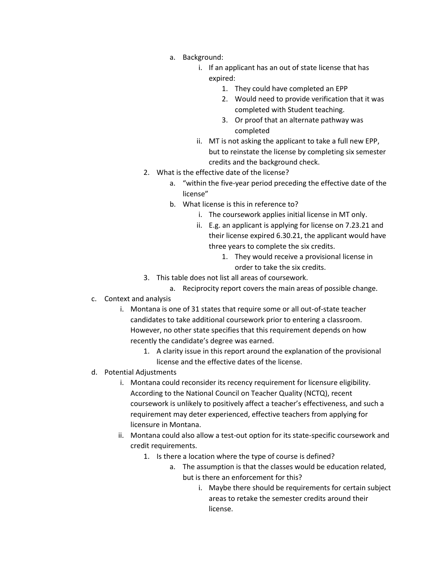- a. Background:
	- i. If an applicant has an out of state license that has expired:
		- 1. They could have completed an EPP
		- 2. Would need to provide verification that it was completed with Student teaching.
		- 3. Or proof that an alternate pathway was completed
	- ii. MT is not asking the applicant to take a full new EPP, but to reinstate the license by completing six semester credits and the background check.
- 2. What is the effective date of the license?
	- a. "within the five-year period preceding the effective date of the license"
	- b. What license is this in reference to?
		- i. The coursework applies initial license in MT only.
		- ii. E.g. an applicant is applying for license on 7.23.21 and their license expired 6.30.21, the applicant would have three years to complete the six credits.
			- 1. They would receive a provisional license in order to take the six credits.
- 3. This table does not list all areas of coursework.
	- a. Reciprocity report covers the main areas of possible change.
- c. Context and analysis
	- i. Montana is one of 31 states that require some or all out-of-state teacher candidates to take additional coursework prior to entering a classroom. However, no other state specifies that this requirement depends on how recently the candidate's degree was earned.
		- 1. A clarity issue in this report around the explanation of the provisional license and the effective dates of the license.
- d. Potential Adjustments
	- i. Montana could reconsider its recency requirement for licensure eligibility. According to the National Council on Teacher Quality (NCTQ), recent coursework is unlikely to positively affect a teacher's effectiveness, and such a requirement may deter experienced, effective teachers from applying for licensure in Montana.
	- ii. Montana could also allow a test-out option for its state-specific coursework and credit requirements.
		- 1. Is there a location where the type of course is defined?
			- a. The assumption is that the classes would be education related, but is there an enforcement for this?
				- i. Maybe there should be requirements for certain subject areas to retake the semester credits around their license.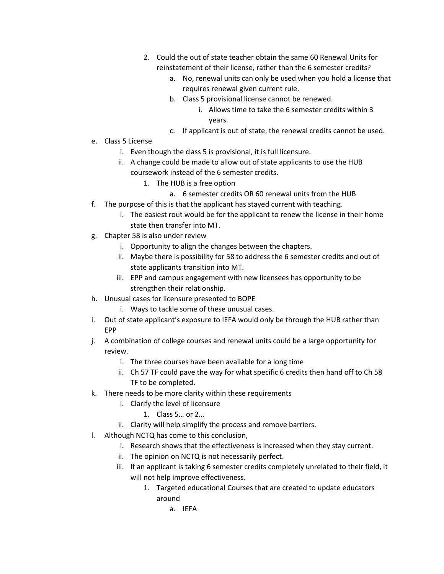- 2. Could the out of state teacher obtain the same 60 Renewal Units for reinstatement of their license, rather than the 6 semester credits?
	- a. No, renewal units can only be used when you hold a license that requires renewal given current rule.
	- b. Class 5 provisional license cannot be renewed.
		- i. Allows time to take the 6 semester credits within 3 years.
	- c. If applicant is out of state, the renewal credits cannot be used.
- e. Class 5 License
	- i. Even though the class 5 is provisional, it is full licensure.
	- ii. A change could be made to allow out of state applicants to use the HUB coursework instead of the 6 semester credits.
		- 1. The HUB is a free option
			- a. 6 semester credits OR 60 renewal units from the HUB
- f. The purpose of this is that the applicant has stayed current with teaching.
	- i. The easiest rout would be for the applicant to renew the license in their home state then transfer into MT.
- g. Chapter 58 is also under review
	- i. Opportunity to align the changes between the chapters.
	- ii. Maybe there is possibility for 58 to address the 6 semester credits and out of state applicants transition into MT.
	- iii. EPP and campus engagement with new licensees has opportunity to be strengthen their relationship.
- h. Unusual cases for licensure presented to BOPE
	- i. Ways to tackle some of these unusual cases.
- i. Out of state applicant's exposure to IEFA would only be through the HUB rather than EPP
- j. A combination of college courses and renewal units could be a large opportunity for review.
	- i. The three courses have been available for a long time
	- ii. Ch 57 TF could pave the way for what specific 6 credits then hand off to Ch 58 TF to be completed.
- k. There needs to be more clarity within these requirements
	- i. Clarify the level of licensure
		- 1. Class 5… or 2…
	- ii. Clarity will help simplify the process and remove barriers.
- l. Although NCTQ has come to this conclusion,
	- i. Research shows that the effectiveness is increased when they stay current.
	- ii. The opinion on NCTQ is not necessarily perfect.
	- iii. If an applicant is taking 6 semester credits completely unrelated to their field, it will not help improve effectiveness.
		- 1. Targeted educational Courses that are created to update educators around
			- a. IEFA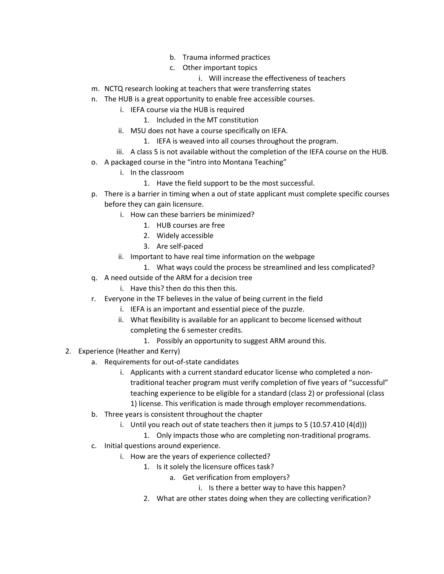- b. Trauma informed practices
- c. Other important topics
	- i. Will increase the effectiveness of teachers
- m. NCTQ research looking at teachers that were transferring states
- n. The HUB is a great opportunity to enable free accessible courses.
	- i. IEFA course via the HUB is required
		- 1. Included in the MT constitution
	- ii. MSU does not have a course specifically on IEFA.
		- 1. IEFA is weaved into all courses throughout the program.
	- iii. A class 5 is not available without the completion of the IEFA course on the HUB.
- o. A packaged course in the "intro into Montana Teaching"
	- i. In the classroom
		- 1. Have the field support to be the most successful.
- p. There is a barrier in timing when a out of state applicant must complete specific courses before they can gain licensure.
	- i. How can these barriers be minimized?
		- 1. HUB courses are free
		- 2. Widely accessible
		- 3. Are self-paced
	- ii. Important to have real time information on the webpage
		- 1. What ways could the process be streamlined and less complicated?
- q. A need outside of the ARM for a decision tree
	- i. Have this? then do this then this.
- r. Everyone in the TF believes in the value of being current in the field
	- i. IEFA is an important and essential piece of the puzzle.
	- ii. What flexibility is available for an applicant to become licensed without completing the 6 semester credits.
		- 1. Possibly an opportunity to suggest ARM around this.
- 2. Experience (Heather and Kerry)
	- a. Requirements for out-of-state candidates
		- i. Applicants with a current standard educator license who completed a nontraditional teacher program must verify completion of five years of "successful" teaching experience to be eligible for a standard (class 2) or professional (class 1) license. This verification is made through employer recommendations.
	- b. Three years is consistent throughout the chapter
		- i. Until you reach out of state teachers then it jumps to 5  $(10.57.410 (4(d)))$ 
			- 1. Only impacts those who are completing non-traditional programs.
	- c. Initial questions around experience.
		- i. How are the years of experience collected?
			- 1. Is it solely the licensure offices task?
				- a. Get verification from employers?
					- i. Is there a better way to have this happen?
			- 2. What are other states doing when they are collecting verification?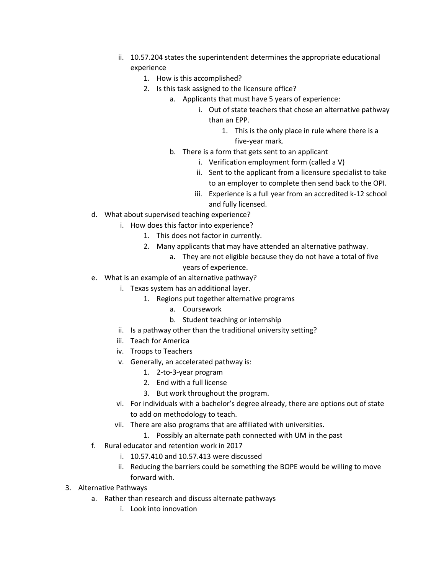- ii. 10.57.204 states the superintendent determines the appropriate educational experience
	- 1. How is this accomplished?
	- 2. Is this task assigned to the licensure office?
		- a. Applicants that must have 5 years of experience:
			- i. Out of state teachers that chose an alternative pathway than an EPP.
				- 1. This is the only place in rule where there is a five-year mark.
		- b. There is a form that gets sent to an applicant
			- i. Verification employment form (called a V)
			- ii. Sent to the applicant from a licensure specialist to take to an employer to complete then send back to the OPI.
			- iii. Experience is a full year from an accredited k-12 school and fully licensed.
- d. What about supervised teaching experience?
	- i. How does this factor into experience?
		- 1. This does not factor in currently.
		- 2. Many applicants that may have attended an alternative pathway.
			- a. They are not eligible because they do not have a total of five years of experience.
- e. What is an example of an alternative pathway?
	- i. Texas system has an additional layer.
		- 1. Regions put together alternative programs
			- a. Coursework
			- b. Student teaching or internship
	- ii. Is a pathway other than the traditional university setting?
	- iii. Teach for America
	- iv. Troops to Teachers
	- v. Generally, an accelerated pathway is:
		- 1. 2-to-3-year program
		- 2. End with a full license
		- 3. But work throughout the program.
	- vi. For individuals with a bachelor's degree already, there are options out of state to add on methodology to teach.
	- vii. There are also programs that are affiliated with universities.
		- 1. Possibly an alternate path connected with UM in the past
- f. Rural educator and retention work in 2017
	- i. 10.57.410 and 10.57.413 were discussed
	- ii. Reducing the barriers could be something the BOPE would be willing to move forward with.
- 3. Alternative Pathways
	- a. Rather than research and discuss alternate pathways
		- i. Look into innovation